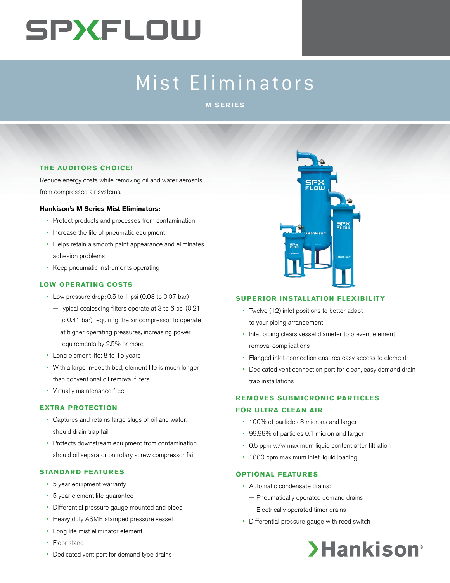# **SPXFLOW**

# Mist Eliminators

**M SERIES**

## **THE AUDITORS CHOICE!**

Reduce energy costs while removing oil and water aerosols from compressed air systems.

## **Hankison's M Series Mist Eliminators:**

- Protect products and processes from contamination
- Increase the life of pneumatic equipment
- Helps retain a smooth paint appearance and eliminates adhesion problems
- Keep pneumatic instruments operating

# **LOW OPERATING COSTS**

- Low pressure drop: 0.5 to 1 psi (0.03 to 0.07 bar)
	- Typical coalescing filters operate at 3 to 6 psi (0.21 to 0.41 bar) requiring the air compressor to operate at higher operating pressures, increasing power requirements by 2.5% or more
- Long element life: 8 to 15 years
- With a large in-depth bed, element life is much longer than conventional oil removal filters
- Virtually maintenance free

## **EXTRA PROTECTION**

- Captures and retains large slugs of oil and water, should drain trap fail
- Protects downstream equipment from contamination should oil separator on rotary screw compressor fail

## **STANDARD FEATURES**

- 5 year equipment warranty
- 5 year element life guarantee
- Differential pressure gauge mounted and piped
- Heavy duty ASME stamped pressure vessel
- Long life mist eliminator element
- Floor stand



• Flanged inlet connection ensures easy access to element

<mark>SPX</mark><br>FLow

 $SP$ 

• Dedicated vent connection port for clean, easy demand drain trap installations

# **REMOVES SUBMICRONIC PARTICLES FOR ULTRA CLEAN AIR**

- 100% of particles 3 microns and larger
- 99.98% of particles 0.1 micron and larger
- 0.5 ppm w/w maximum liquid content after filtration
- 1000 ppm maximum inlet liquid loading

## **OPTIONAL FEATURES**

- Automatic condensate drains:
	- Pneumatically operated demand drains
	- Electrically operated timer drains
- Differential pressure gauge with reed switch



• Dedicated vent port for demand type drains